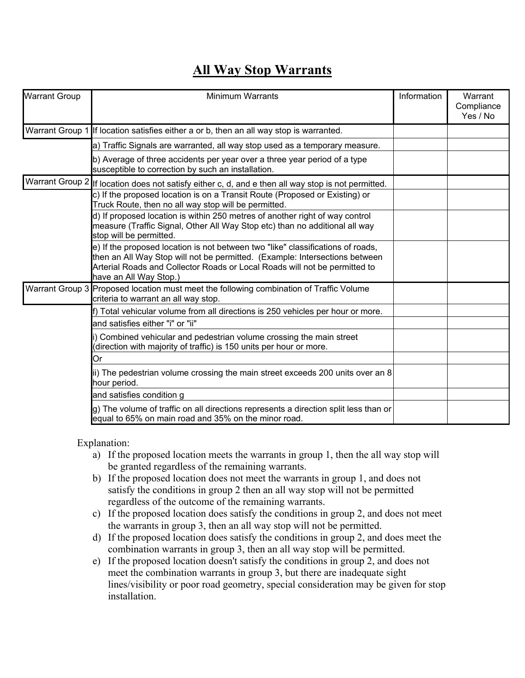## **All Way Stop Warrants**

| <b>Warrant Group</b> | <b>Minimum Warrants</b>                                                                                                                                                                                                                                                | Information | Warrant<br>Compliance<br>Yes / No |
|----------------------|------------------------------------------------------------------------------------------------------------------------------------------------------------------------------------------------------------------------------------------------------------------------|-------------|-----------------------------------|
|                      | Warrant Group 1 If location satisfies either a or b, then an all way stop is warranted.                                                                                                                                                                                |             |                                   |
|                      | a) Traffic Signals are warranted, all way stop used as a temporary measure.                                                                                                                                                                                            |             |                                   |
|                      | b) Average of three accidents per year over a three year period of a type<br>susceptible to correction by such an installation.                                                                                                                                        |             |                                   |
|                      | Warrant Group 2   If location does not satisfy either c, d, and e then all way stop is not permitted.                                                                                                                                                                  |             |                                   |
|                      | c) If the proposed location is on a Transit Route (Proposed or Existing) or<br>Truck Route, then no all way stop will be permitted.                                                                                                                                    |             |                                   |
|                      | d) If proposed location is within 250 metres of another right of way control<br>measure (Traffic Signal, Other All Way Stop etc) than no additional all way<br>stop will be permitted.                                                                                 |             |                                   |
|                      | e) If the proposed location is not between two "like" classifications of roads,<br>then an All Way Stop will not be permitted. (Example: Intersections between<br>Arterial Roads and Collector Roads or Local Roads will not be permitted to<br>have an All Way Stop.) |             |                                   |
|                      | Warrant Group 3 Proposed location must meet the following combination of Traffic Volume<br>criteria to warrant an all way stop.                                                                                                                                        |             |                                   |
|                      | f) Total vehicular volume from all directions is 250 vehicles per hour or more.                                                                                                                                                                                        |             |                                   |
|                      | and satisfies either "i" or "ii"                                                                                                                                                                                                                                       |             |                                   |
|                      | ) Combined vehicular and pedestrian volume crossing the main street<br>(direction with majority of traffic) is 150 units per hour or more.                                                                                                                             |             |                                   |
|                      | Or                                                                                                                                                                                                                                                                     |             |                                   |
|                      | ii) The pedestrian volume crossing the main street exceeds 200 units over an 8<br>hour period.                                                                                                                                                                         |             |                                   |
|                      | and satisfies condition g                                                                                                                                                                                                                                              |             |                                   |
|                      | g) The volume of traffic on all directions represents a direction split less than or<br>equal to 65% on main road and 35% on the minor road.                                                                                                                           |             |                                   |

Explanation:

- a) If the proposed location meets the warrants in group 1, then the all way stop will be granted regardless of the remaining warrants.
- b) If the proposed location does not meet the warrants in group 1, and does not satisfy the conditions in group 2 then an all way stop will not be permitted regardless of the outcome of the remaining warrants.
- c) If the proposed location does satisfy the conditions in group 2, and does not meet the warrants in group 3, then an all way stop will not be permitted.
- d) If the proposed location does satisfy the conditions in group 2, and does meet the combination warrants in group 3, then an all way stop will be permitted.
- e) If the proposed location doesn't satisfy the conditions in group 2, and does not meet the combination warrants in group 3, but there are inadequate sight lines/visibility or poor road geometry, special consideration may be given for stop installation.